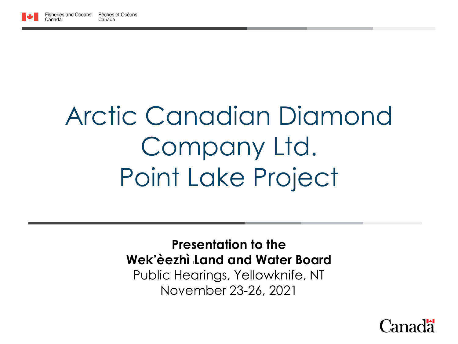

# Arctic Canadian Diamond Company Ltd. Point Lake Project

**Presentation to the Wek'èezhì <sup>i</sup>Land and Water Board** Public Hearings, Yellowknife, NT November 23-26, 2021

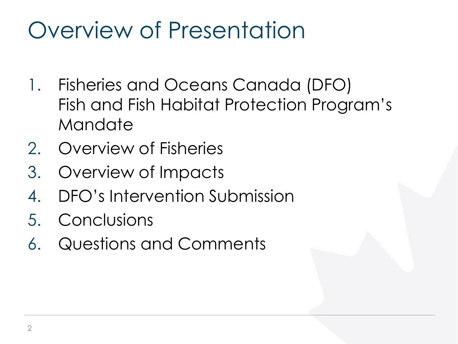## Overview of Presentation

- 1. Fisheries and Oceans Canada (DFO) Fish and Fish Habitat Protection Program's **Mandate**
- 2. Overview of Fisheries
- 3. Overview of Impacts
- 4. DFO's Intervention Submission
- 5. Conclusions
- 6. Questions and Comments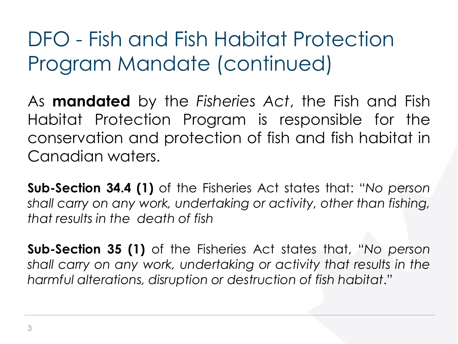### DFO - Fish and Fish Habitat Protection Program Mandate (continued)

As **mandated** by the *Fisheries Act*, the Fish and Fish Habitat Protection Program is responsible for the conservation and protection of fish and fish habitat in Canadian waters.

**Sub-Section 34.4 (1)** of the Fisheries Act states that: "*No person shall carry on any work, undertaking or activity, other than fishing, that results in the death of fish*

**Sub-Section 35 (1)** of the Fisheries Act states that, "*No person shall carry on any work, undertaking or activity that results in the harmful alterations, disruption or destruction of fish habitat*."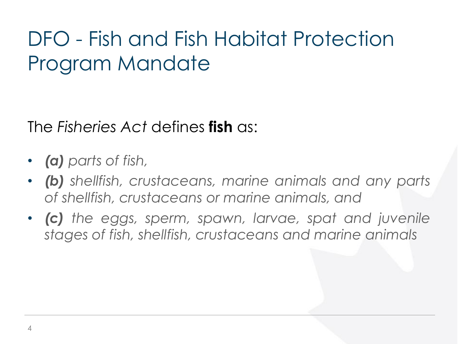### DFO - Fish and Fish Habitat Protection Program Mandate

The *Fisheries Act* defines **fish** as:

- *(a) parts of fish,*
- *(b) shellfish, crustaceans, marine animals and any parts of shellfish, crustaceans or marine animals, and*
- *(c) the eggs, sperm, spawn, larvae, spat and juvenile stages of fish, shellfish, crustaceans and marine animals*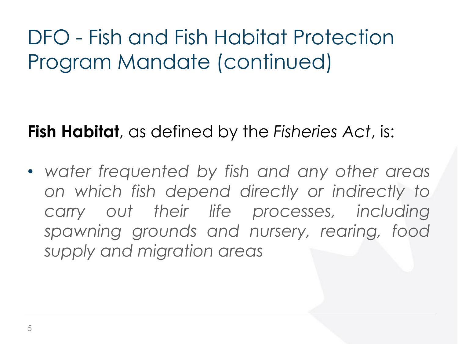### DFO - Fish and Fish Habitat Protection Program Mandate (continued)

**Fish Habitat**, as defined by the *Fisheries Act*, is:

• *water frequented by fish and any other areas on which fish depend directly or indirectly to carry out their life processes, including spawning grounds and nursery, rearing, food supply and migration areas*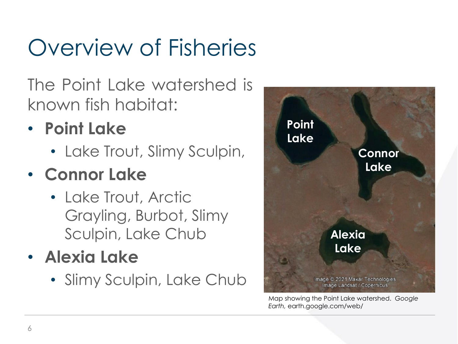## Overview of Fisheries

The Point Lake watershed is known fish habitat:

#### • **Point Lake**

• Lake Trout, Slimy Sculpin,

#### • **Connor Lake**

- Lake Trout, Arctic Grayling, Burbot, Slimy Sculpin, Lake Chub
- **Alexia Lake**
	- Slimy Sculpin, Lake Chub



Map showing the Point Lake watershed. *Google Earth,* earth.google.com/web/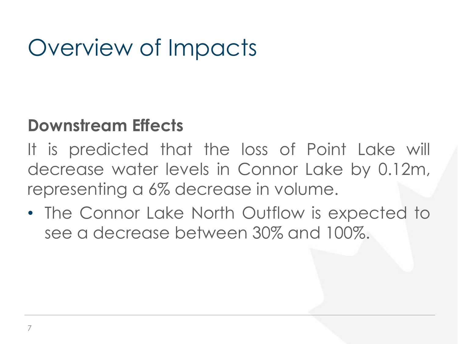## Overview of Impacts

#### **Downstream Effects**

It is predicted that the loss of Point Lake will decrease water levels in Connor Lake by 0.12m, representing a 6% decrease in volume.

• The Connor Lake North Outflow is expected to see a decrease between 30% and 100%.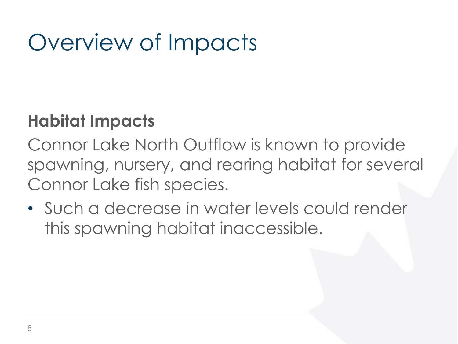## Overview of Impacts

#### **Habitat Impacts**

Connor Lake North Outflow is known to provide spawning, nursery, and rearing habitat for several Connor Lake fish species.

• Such a decrease in water levels could render this spawning habitat inaccessible.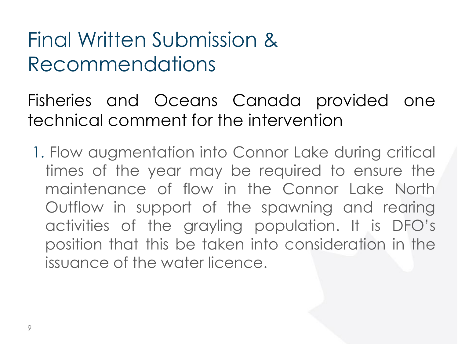### Final Written Submission & Recommendations

Fisheries and Oceans Canada provided one technical comment for the intervention

1. Flow augmentation into Connor Lake during critical times of the year may be required to ensure the maintenance of flow in the Connor Lake North Outflow in support of the spawning and rearing activities of the grayling population. It is DFO's position that this be taken into consideration in the issuance of the water licence.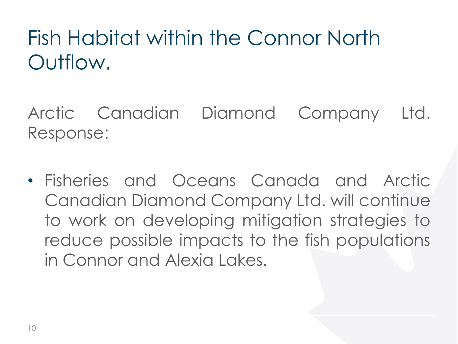Fish Habitat within the Connor North Outflow.

Arctic Canadian Diamond Company Ltd. Response:

• Fisheries and Oceans Canada and Arctic Canadian Diamond Company Ltd. will continue to work on developing mitigation strategies to reduce possible impacts to the fish populations in Connor and Alexia Lakes.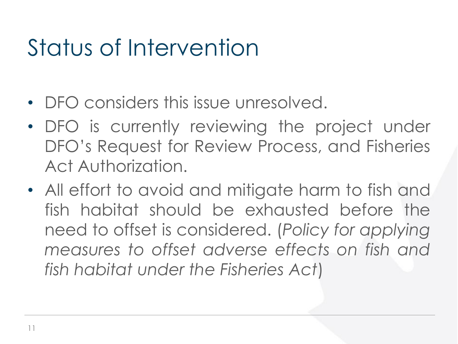## Status of Intervention

- DFO considers this issue unresolved.
- DFO is currently reviewing the project under DFO's Request for Review Process, and Fisheries Act Authorization.
- All effort to avoid and mitigate harm to fish and fish habitat should be exhausted before the need to offset is considered. (*Policy for applying measures to offset adverse effects on fish and fish habitat under the Fisheries Act*)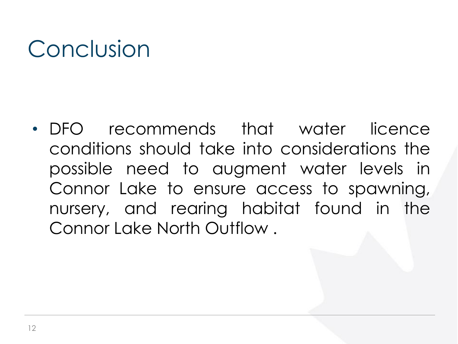## Conclusion

• DFO recommends that water licence conditions should take into considerations the possible need to augment water levels in Connor Lake to ensure access to spawning, nursery, and rearing habitat found in the Connor Lake North Outflow .